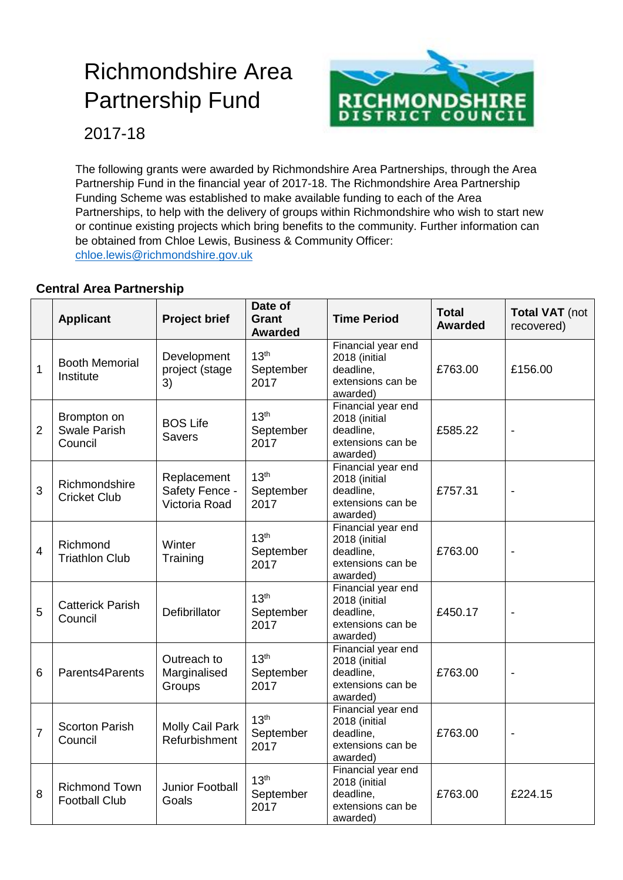# Richmondshire Area Partnership Fund



2017-18

 The following grants were awarded by Richmondshire Area Partnerships, through the Area Partnership Fund in the financial year of 2017-18. The Richmondshire Area Partnership Funding Scheme was established to make available funding to each of the Area Partnerships, to help with the delivery of groups within Richmondshire who wish to start new or continue existing projects which bring benefits to the community. Further information can be obtained from Chloe Lewis, Business & Community Officer: [chloe.lewis@richmondshire.gov.uk](mailto:chloe.lewis@richmondshire.gov.uk) 

#### **Central Area Partnership**

|                | <b>Applicant</b>                              | <b>Project brief</b>                           | Date of<br><b>Grant</b><br><b>Awarded</b> | <b>Time Period</b>                                                                | <b>Total</b><br><b>Awarded</b> | <b>Total VAT</b> (not<br>recovered) |
|----------------|-----------------------------------------------|------------------------------------------------|-------------------------------------------|-----------------------------------------------------------------------------------|--------------------------------|-------------------------------------|
| $\mathbf 1$    | <b>Booth Memorial</b><br>Institute            | Development<br>project (stage<br>3)            | 13 <sup>th</sup><br>September<br>2017     | Financial year end<br>2018 (initial<br>deadline,<br>extensions can be<br>awarded) | £763.00                        | £156.00                             |
| $\overline{2}$ | Brompton on<br><b>Swale Parish</b><br>Council | <b>BOS Life</b><br><b>Savers</b>               | 13 <sup>th</sup><br>September<br>2017     | Financial year end<br>2018 (initial<br>deadline,<br>extensions can be<br>awarded) | £585.22                        |                                     |
| 3              | Richmondshire<br><b>Cricket Club</b>          | Replacement<br>Safety Fence -<br>Victoria Road | 13 <sup>th</sup><br>September<br>2017     | Financial year end<br>2018 (initial<br>deadline,<br>extensions can be<br>awarded) | £757.31                        | $\blacksquare$                      |
| $\overline{4}$ | Richmond<br><b>Triathlon Club</b>             | Winter<br>Training                             | 13 <sup>th</sup><br>September<br>2017     | Financial year end<br>2018 (initial<br>deadline,<br>extensions can be<br>awarded) | £763.00                        |                                     |
| 5              | <b>Catterick Parish</b><br>Council            | Defibrillator                                  | 13 <sup>th</sup><br>September<br>2017     | Financial year end<br>2018 (initial<br>deadline,<br>extensions can be<br>awarded) | £450.17                        |                                     |
| 6              | Parents4Parents                               | Outreach to<br>Marginalised<br>Groups          | 13 <sup>th</sup><br>September<br>2017     | Financial year end<br>2018 (initial<br>deadline,<br>extensions can be<br>awarded) | £763.00                        | $\overline{\phantom{a}}$            |
| $\overline{7}$ | <b>Scorton Parish</b><br>Council              | Molly Cail Park<br>Refurbishment               | 13 <sup>th</sup><br>September<br>2017     | Financial year end<br>2018 (initial<br>deadline,<br>extensions can be<br>awarded) | £763.00                        |                                     |
| 8              | <b>Richmond Town</b><br><b>Football Club</b>  | Junior Football<br>Goals                       | 13 <sup>th</sup><br>September<br>2017     | Financial year end<br>2018 (initial<br>deadline,<br>extensions can be<br>awarded) | £763.00                        | £224.15                             |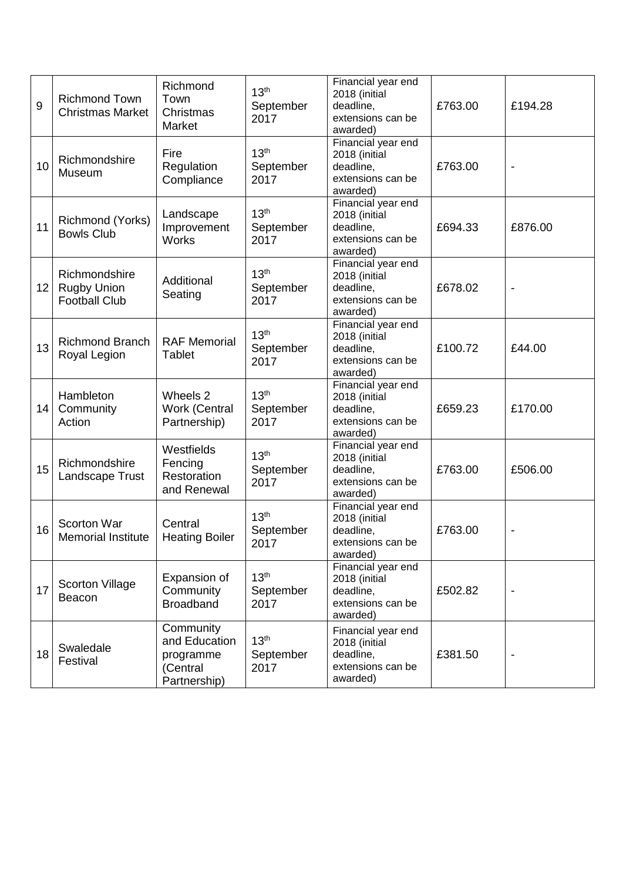| 9               | <b>Richmond Town</b><br><b>Christmas Market</b>             | Richmond<br>Town<br>Christmas<br>Market                             | 13 <sup>th</sup><br>September<br>2017 | Financial year end<br>2018 (initial<br>deadline,<br>extensions can be<br>awarded) | £763.00 | £194.28 |
|-----------------|-------------------------------------------------------------|---------------------------------------------------------------------|---------------------------------------|-----------------------------------------------------------------------------------|---------|---------|
| 10              | Richmondshire<br>Museum                                     | Fire<br>Regulation<br>Compliance                                    | 13 <sup>th</sup><br>September<br>2017 | Financial year end<br>2018 (initial<br>deadline,<br>extensions can be<br>awarded) | £763.00 |         |
| 11              | Richmond (Yorks)<br><b>Bowls Club</b>                       | Landscape<br>Improvement<br><b>Works</b>                            | 13 <sup>th</sup><br>September<br>2017 | Financial year end<br>2018 (initial<br>deadline,<br>extensions can be<br>awarded) | £694.33 | £876.00 |
| 12 <sub>2</sub> | Richmondshire<br><b>Rugby Union</b><br><b>Football Club</b> | Additional<br>Seating                                               | 13 <sup>th</sup><br>September<br>2017 | Financial year end<br>2018 (initial<br>deadline,<br>extensions can be<br>awarded) | £678.02 |         |
| 13              | Richmond Branch<br>Royal Legion                             | <b>RAF Memorial</b><br><b>Tablet</b>                                | 13 <sup>th</sup><br>September<br>2017 | Financial year end<br>2018 (initial<br>deadline,<br>extensions can be<br>awarded) | £100.72 | £44.00  |
| 14              | Hambleton<br>Community<br>Action                            | Wheels 2<br>Work (Central<br>Partnership)                           | 13 <sup>th</sup><br>September<br>2017 | Financial year end<br>2018 (initial<br>deadline,<br>extensions can be<br>awarded) | £659.23 | £170.00 |
| 15              | Richmondshire<br>Landscape Trust                            | Westfields<br>Fencing<br>Restoration<br>and Renewal                 | 13 <sup>th</sup><br>September<br>2017 | Financial year end<br>2018 (initial<br>deadline,<br>extensions can be<br>awarded) | £763.00 | £506.00 |
| 16              | Scorton War<br><b>Memorial Institute</b>                    | Central<br><b>Heating Boiler</b>                                    | 13 <sup>th</sup><br>September<br>2017 | Financial year end<br>2018 (initial<br>deadline,<br>extensions can be<br>awarded) | £763.00 |         |
| 17              | <b>Scorton Village</b><br>Beacon                            | Expansion of<br>Community<br><b>Broadband</b>                       | 13 <sup>th</sup><br>September<br>2017 | Financial year end<br>2018 (initial<br>deadline,<br>extensions can be<br>awarded) | £502.82 |         |
| 18              | Swaledale<br>Festival                                       | Community<br>and Education<br>programme<br>(Central<br>Partnership) | 13 <sup>th</sup><br>September<br>2017 | Financial year end<br>2018 (initial<br>deadline,<br>extensions can be<br>awarded) | £381.50 |         |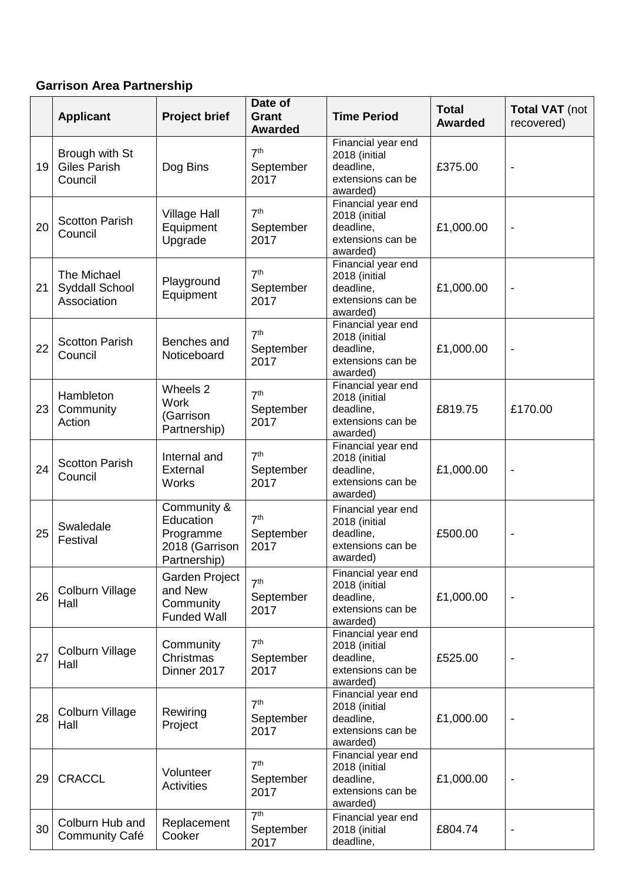#### **Garrison Area Partnership**

|    | <b>Applicant</b>                                    | <b>Project brief</b>                                                    | Date of<br><b>Grant</b><br><b>Awarded</b> | <b>Time Period</b>                                                                | <b>Total</b><br><b>Awarded</b> | <b>Total VAT</b> (not<br>recovered) |
|----|-----------------------------------------------------|-------------------------------------------------------------------------|-------------------------------------------|-----------------------------------------------------------------------------------|--------------------------------|-------------------------------------|
| 19 | Brough with St<br><b>Giles Parish</b><br>Council    | Dog Bins                                                                | 7 <sup>th</sup><br>September<br>2017      | Financial year end<br>2018 (initial<br>deadline,<br>extensions can be<br>awarded) | £375.00                        |                                     |
| 20 | <b>Scotton Parish</b><br>Council                    | <b>Village Hall</b><br>Equipment<br>Upgrade                             | 7 <sup>th</sup><br>September<br>2017      | Financial year end<br>2018 (initial<br>deadline,<br>extensions can be<br>awarded) | £1,000.00                      | $\overline{\phantom{a}}$            |
| 21 | The Michael<br><b>Syddall School</b><br>Association | Playground<br>Equipment                                                 | 7 <sup>th</sup><br>September<br>2017      | Financial year end<br>2018 (initial<br>deadline,<br>extensions can be<br>awarded) | £1,000.00                      | $\qquad \qquad \blacksquare$        |
| 22 | <b>Scotton Parish</b><br>Council                    | Benches and<br>Noticeboard                                              | 7 <sup>th</sup><br>September<br>2017      | Financial year end<br>2018 (initial<br>deadline,<br>extensions can be<br>awarded) | £1,000.00                      |                                     |
| 23 | Hambleton<br>Community<br>Action                    | Wheels 2<br><b>Work</b><br>(Garrison<br>Partnership)                    | 7 <sup>th</sup><br>September<br>2017      | Financial year end<br>2018 (initial<br>deadline,<br>extensions can be<br>awarded) | £819.75                        | £170.00                             |
| 24 | <b>Scotton Parish</b><br>Council                    | Internal and<br>External<br><b>Works</b>                                | 7 <sup>th</sup><br>September<br>2017      | Financial year end<br>2018 (initial<br>deadline,<br>extensions can be<br>awarded) | £1,000.00                      | $\qquad \qquad \blacksquare$        |
| 25 | Swaledale<br>Festival                               | Community &<br>Education<br>Programme<br>2018 (Garrison<br>Partnership) | 7 <sup>th</sup><br>September<br>2017      | Financial year end<br>2018 (initial<br>deadline,<br>extensions can be<br>awarded) | £500.00                        |                                     |
| 26 | Colburn Village<br>Hall                             | Garden Project<br>and New<br>Community<br><b>Funded Wall</b>            | 7 <sup>th</sup><br>September<br>2017      | Financial year end<br>2018 (initial<br>deadline,<br>extensions can be<br>awarded) | £1,000.00                      | $\qquad \qquad \blacksquare$        |
| 27 | Colburn Village<br>Hall                             | Community<br>Christmas<br>Dinner 2017                                   | 7 <sup>th</sup><br>September<br>2017      | Financial year end<br>2018 (initial<br>deadline,<br>extensions can be<br>awarded) | £525.00                        |                                     |
| 28 | Colburn Village<br>Hall                             | Rewiring<br>Project                                                     | 7 <sup>th</sup><br>September<br>2017      | Financial year end<br>2018 (initial<br>deadline,<br>extensions can be<br>awarded) | £1,000.00                      |                                     |
| 29 | <b>CRACCL</b>                                       | Volunteer<br><b>Activities</b>                                          | 7 <sup>th</sup><br>September<br>2017      | Financial year end<br>2018 (initial<br>deadline,<br>extensions can be<br>awarded) | £1,000.00                      |                                     |
| 30 | Colburn Hub and<br><b>Community Café</b>            | Replacement<br>Cooker                                                   | 7 <sup>th</sup><br>September<br>2017      | Financial year end<br>2018 (initial<br>deadline,                                  | £804.74                        |                                     |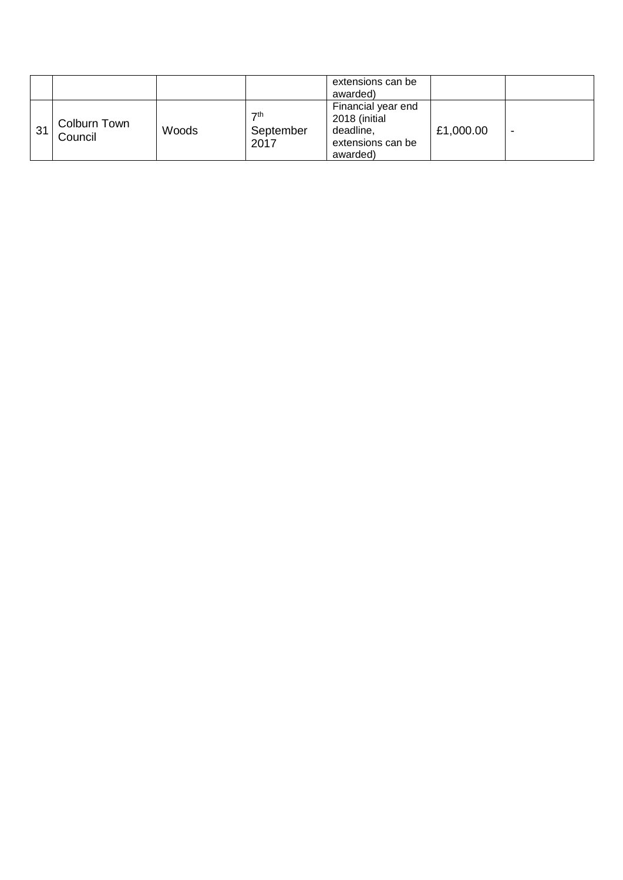|    |                         |       |                                  | extensions can be<br>awarded)                                                     |           |  |
|----|-------------------------|-------|----------------------------------|-----------------------------------------------------------------------------------|-----------|--|
| 31 | Colburn Town<br>Council | Woods | $\nabla$ th<br>September<br>2017 | Financial year end<br>2018 (initial<br>deadline,<br>extensions can be<br>awarded) | £1,000.00 |  |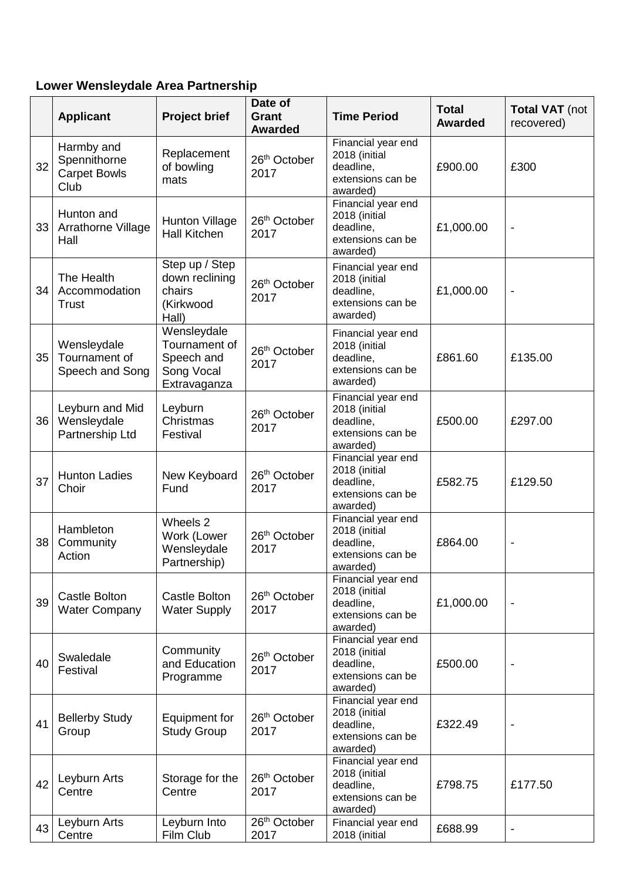## **Lower Wensleydale Area Partnership**

|                 | <b>Applicant</b>                                          | <b>Project brief</b>                                                     | Date of<br><b>Grant</b><br><b>Awarded</b> | <b>Time Period</b>                                                                | <b>Total</b><br><b>Awarded</b> | <b>Total VAT</b> (not<br>recovered) |
|-----------------|-----------------------------------------------------------|--------------------------------------------------------------------------|-------------------------------------------|-----------------------------------------------------------------------------------|--------------------------------|-------------------------------------|
| 32              | Harmby and<br>Spennithorne<br><b>Carpet Bowls</b><br>Club | Replacement<br>of bowling<br>mats                                        | 26 <sup>th</sup> October<br>2017          | Financial year end<br>2018 (initial<br>deadline,<br>extensions can be<br>awarded) | £900.00                        | £300                                |
| 33 <sup>°</sup> | Hunton and<br>Arrathorne Village<br>Hall                  | <b>Hunton Village</b><br><b>Hall Kitchen</b>                             | 26th October<br>2017                      | Financial year end<br>2018 (initial<br>deadline,<br>extensions can be<br>awarded) | £1,000.00                      | $\overline{a}$                      |
| 34              | The Health<br>Accommodation<br><b>Trust</b>               | Step up / Step<br>down reclining<br>chairs<br>(Kirkwood<br>Hall)         | 26th October<br>2017                      | Financial year end<br>2018 (initial<br>deadline,<br>extensions can be<br>awarded) | £1,000.00                      | $\overline{a}$                      |
| 35              | Wensleydale<br>Tournament of<br>Speech and Song           | Wensleydale<br>Tournament of<br>Speech and<br>Song Vocal<br>Extravaganza | 26th October<br>2017                      | Financial year end<br>2018 (initial<br>deadline,<br>extensions can be<br>awarded) | £861.60                        | £135.00                             |
| 36              | Leyburn and Mid<br>Wensleydale<br>Partnership Ltd         | Leyburn<br>Christmas<br>Festival                                         | 26th October<br>2017                      | Financial year end<br>2018 (initial<br>deadline,<br>extensions can be<br>awarded) | £500.00                        | £297.00                             |
| 37              | <b>Hunton Ladies</b><br>Choir                             | New Keyboard<br>Fund                                                     | 26 <sup>th</sup> October<br>2017          | Financial year end<br>2018 (initial<br>deadline,<br>extensions can be<br>awarded) | £582.75                        | £129.50                             |
| 38              | Hambleton<br>Community<br>Action                          | Wheels 2<br>Work (Lower<br>Wensleydale<br>Partnership)                   | 26th October<br>2017                      | Financial year end<br>2018 (initial<br>deadline,<br>extensions can be<br>awarded) | £864.00                        |                                     |
| 39              | <b>Castle Bolton</b><br><b>Water Company</b>              | Castle Bolton<br><b>Water Supply</b>                                     | 26 <sup>th</sup> October<br>2017          | Financial year end<br>2018 (initial<br>deadline,<br>extensions can be<br>awarded) | £1,000.00                      | $\qquad \qquad \blacksquare$        |
| 40              | Swaledale<br>Festival                                     | Community<br>and Education<br>Programme                                  | 26 <sup>th</sup> October<br>2017          | Financial year end<br>2018 (initial<br>deadline,<br>extensions can be<br>awarded) | £500.00                        |                                     |
| 41              | <b>Bellerby Study</b><br>Group                            | Equipment for<br><b>Study Group</b>                                      | 26 <sup>th</sup> October<br>2017          | Financial year end<br>2018 (initial<br>deadline,<br>extensions can be<br>awarded) | £322.49                        |                                     |
| 42              | Leyburn Arts<br>Centre                                    | Storage for the<br>Centre                                                | 26 <sup>th</sup> October<br>2017          | Financial year end<br>2018 (initial<br>deadline,<br>extensions can be<br>awarded) | £798.75                        | £177.50                             |
| 43              | Leyburn Arts<br>Centre                                    | Leyburn Into<br>Film Club                                                | 26 <sup>th</sup> October<br>2017          | Financial year end<br>2018 (initial                                               | £688.99                        | $\overline{\phantom{a}}$            |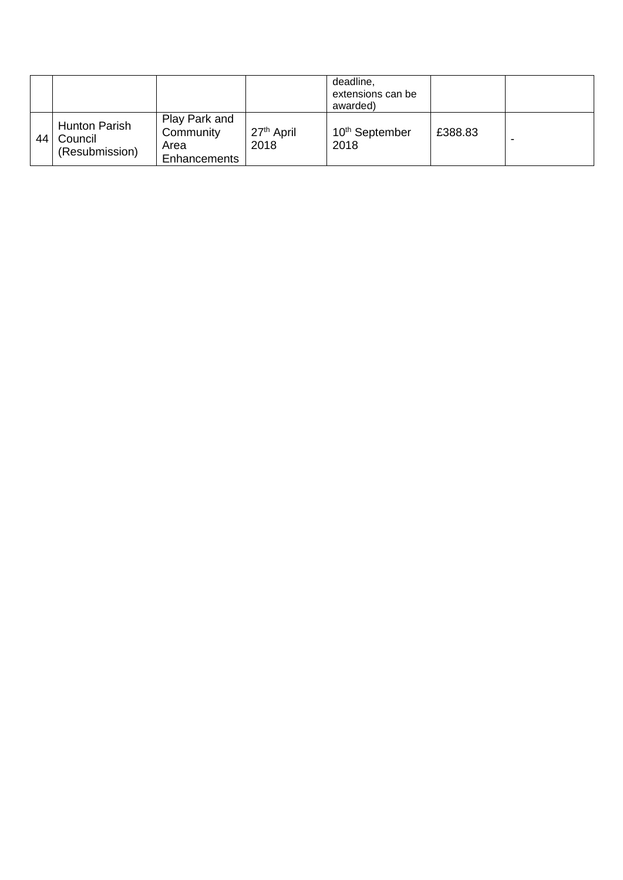|    |                                                   |                                                    |                                | deadline,<br>extensions can be<br>awarded) |         |  |
|----|---------------------------------------------------|----------------------------------------------------|--------------------------------|--------------------------------------------|---------|--|
| 44 | <b>Hunton Parish</b><br>Council<br>(Resubmission) | Play Park and<br>Community<br>Area<br>Enhancements | 27 <sup>th</sup> April<br>2018 | 10 <sup>th</sup> September<br>2018         | £388.83 |  |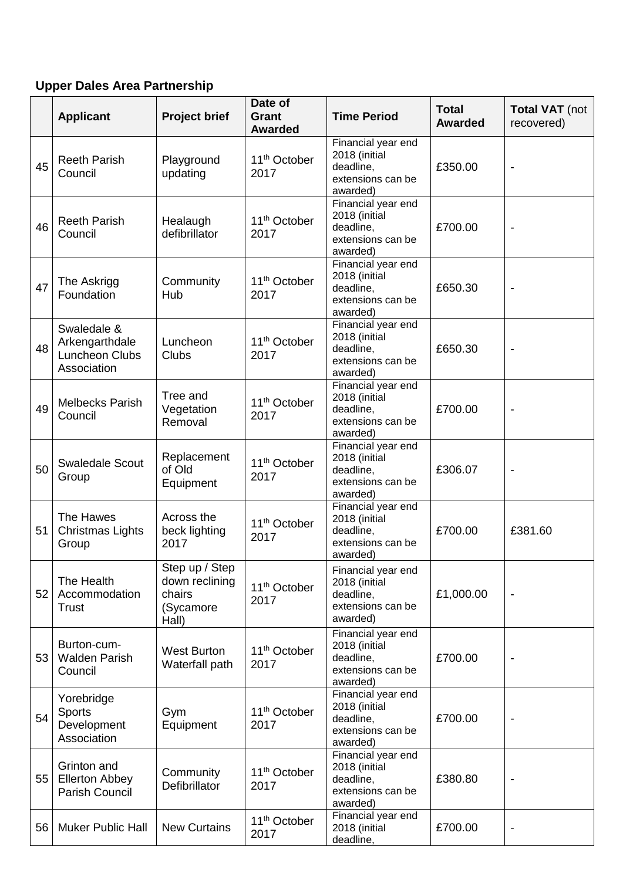## **Upper Dales Area Partnership**

|    | <b>Applicant</b>                                                      | <b>Project brief</b>                                             | Date of<br>Grant<br><b>Awarded</b> | <b>Time Period</b>                                                                | <b>Total</b><br><b>Awarded</b> | <b>Total VAT</b> (not<br>recovered) |
|----|-----------------------------------------------------------------------|------------------------------------------------------------------|------------------------------------|-----------------------------------------------------------------------------------|--------------------------------|-------------------------------------|
| 45 | <b>Reeth Parish</b><br>Council                                        | Playground<br>updating                                           | 11 <sup>th</sup> October<br>2017   | Financial year end<br>2018 (initial<br>deadline,<br>extensions can be<br>awarded) | £350.00                        |                                     |
| 46 | <b>Reeth Parish</b><br>Council                                        | Healaugh<br>defibrillator                                        | 11 <sup>th</sup> October<br>2017   | Financial year end<br>2018 (initial<br>deadline,<br>extensions can be<br>awarded) | £700.00                        |                                     |
| 47 | The Askrigg<br>Foundation                                             | Community<br>Hub                                                 | 11 <sup>th</sup> October<br>2017   | Financial year end<br>2018 (initial<br>deadline,<br>extensions can be<br>awarded) | £650.30                        | $\overline{\phantom{a}}$            |
| 48 | Swaledale &<br>Arkengarthdale<br><b>Luncheon Clubs</b><br>Association | Luncheon<br>Clubs                                                | 11 <sup>th</sup> October<br>2017   | Financial year end<br>2018 (initial<br>deadline,<br>extensions can be<br>awarded) | £650.30                        |                                     |
| 49 | <b>Melbecks Parish</b><br>Council                                     | Tree and<br>Vegetation<br>Removal                                | 11 <sup>th</sup> October<br>2017   | Financial year end<br>2018 (initial<br>deadline,<br>extensions can be<br>awarded) | £700.00                        |                                     |
| 50 | <b>Swaledale Scout</b><br>Group                                       | Replacement<br>of Old<br>Equipment                               | 11 <sup>th</sup> October<br>2017   | Financial year end<br>2018 (initial<br>deadline,<br>extensions can be<br>awarded) | £306.07                        | $\overline{\phantom{a}}$            |
| 51 | The Hawes<br><b>Christmas Lights</b><br>Group                         | Across the<br>beck lighting<br>2017                              | 11 <sup>th</sup> October<br>2017   | Financial year end<br>2018 (initial<br>deadline,<br>extensions can be<br>awarded) | £700.00                        | £381.60                             |
| 52 | The Health<br>Accommodation<br><b>Trust</b>                           | Step up / Step<br>down reclining<br>chairs<br>(Sycamore<br>Hall) | 11 <sup>th</sup> October<br>2017   | Financial year end<br>2018 (initial<br>deadline,<br>extensions can be<br>awarded) | £1,000.00                      | $\overline{\phantom{a}}$            |
| 53 | Burton-cum-<br><b>Walden Parish</b><br>Council                        | <b>West Burton</b><br>Waterfall path                             | 11 <sup>th</sup> October<br>2017   | Financial year end<br>2018 (initial<br>deadline,<br>extensions can be<br>awarded) | £700.00                        |                                     |
| 54 | Yorebridge<br>Sports<br>Development<br>Association                    | Gym<br>Equipment                                                 | 11 <sup>th</sup> October<br>2017   | Financial year end<br>2018 (initial<br>deadline,<br>extensions can be<br>awarded) | £700.00                        |                                     |
| 55 | Grinton and<br><b>Ellerton Abbey</b><br>Parish Council                | Community<br>Defibrillator                                       | 11 <sup>th</sup> October<br>2017   | Financial year end<br>2018 (initial<br>deadline,<br>extensions can be<br>awarded) | £380.80                        |                                     |
| 56 | <b>Muker Public Hall</b>                                              | <b>New Curtains</b>                                              | 11 <sup>th</sup> October<br>2017   | Financial year end<br>2018 (initial<br>deadline,                                  | £700.00                        | $\overline{\phantom{a}}$            |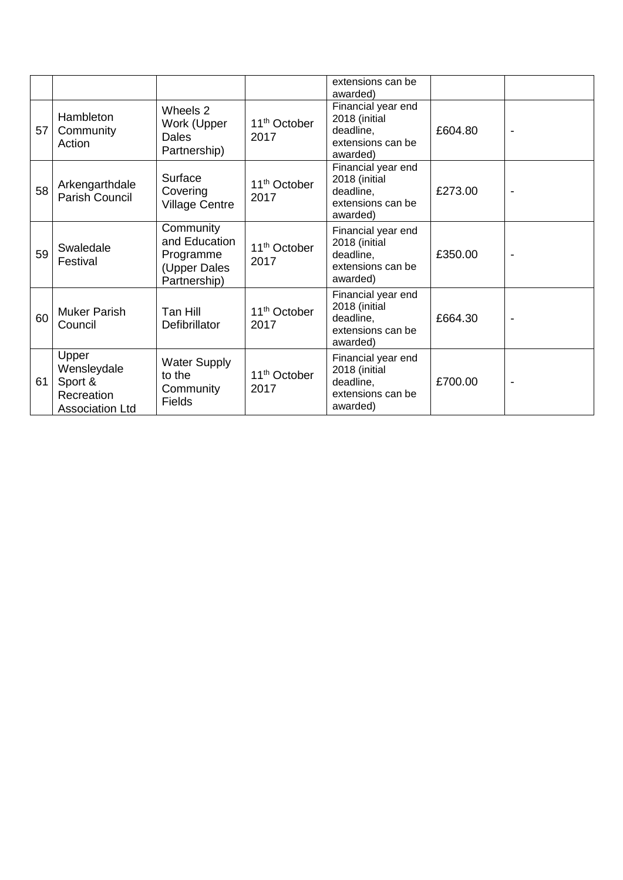|    |                                                                         |                                                                         |                                  | extensions can be<br>awarded)                                                     |         |                |
|----|-------------------------------------------------------------------------|-------------------------------------------------------------------------|----------------------------------|-----------------------------------------------------------------------------------|---------|----------------|
| 57 | Hambleton<br>Community<br>Action                                        | Wheels 2<br>Work (Upper<br><b>Dales</b><br>Partnership)                 | 11 <sup>th</sup> October<br>2017 | Financial year end<br>2018 (initial<br>deadline,<br>extensions can be<br>awarded) | £604.80 | $\blacksquare$ |
| 58 | Arkengarthdale<br>Parish Council                                        | Surface<br>Covering<br><b>Village Centre</b>                            | 11 <sup>th</sup> October<br>2017 | Financial year end<br>2018 (initial<br>deadline,<br>extensions can be<br>awarded) | £273.00 |                |
| 59 | Swaledale<br>Festival                                                   | Community<br>and Education<br>Programme<br>(Upper Dales<br>Partnership) | 11 <sup>th</sup> October<br>2017 | Financial year end<br>2018 (initial<br>deadline,<br>extensions can be<br>awarded) | £350.00 |                |
| 60 | <b>Muker Parish</b><br>Council                                          | Tan Hill<br>Defibrillator                                               | 11 <sup>th</sup> October<br>2017 | Financial year end<br>2018 (initial<br>deadline,<br>extensions can be<br>awarded) | £664.30 |                |
| 61 | Upper<br>Wensleydale<br>Sport &<br>Recreation<br><b>Association Ltd</b> | <b>Water Supply</b><br>to the<br>Community<br><b>Fields</b>             | 11 <sup>th</sup> October<br>2017 | Financial year end<br>2018 (initial<br>deadline,<br>extensions can be<br>awarded) | £700.00 |                |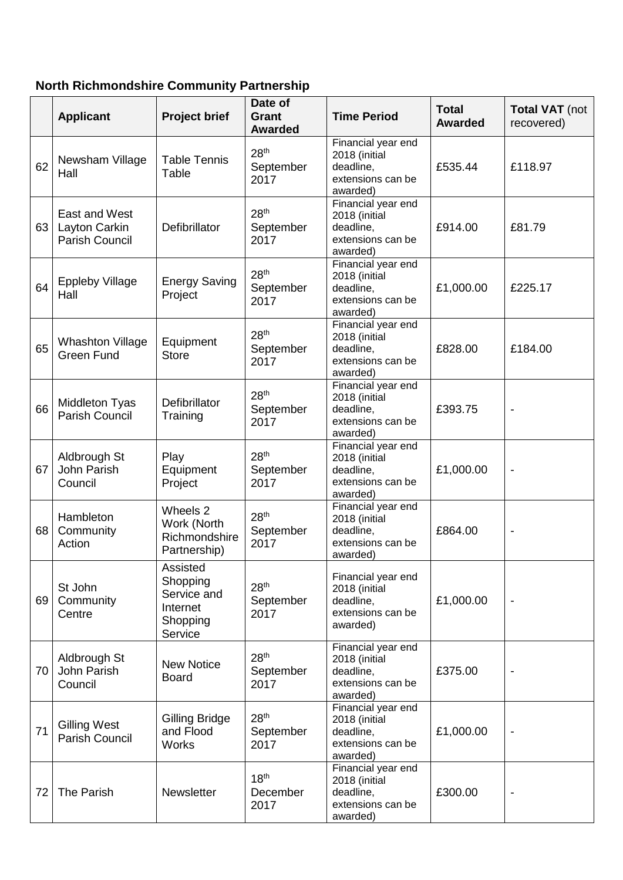## **North Richmondshire Community Partnership**

|    | <b>Applicant</b>                                        | <b>Project brief</b>                                                   | Date of<br><b>Grant</b><br><b>Awarded</b> | <b>Time Period</b>                                                                | <b>Total</b><br><b>Awarded</b> | <b>Total VAT</b> (not<br>recovered) |
|----|---------------------------------------------------------|------------------------------------------------------------------------|-------------------------------------------|-----------------------------------------------------------------------------------|--------------------------------|-------------------------------------|
| 62 | Newsham Village<br>Hall                                 | <b>Table Tennis</b><br>Table                                           | 28 <sup>th</sup><br>September<br>2017     | Financial year end<br>2018 (initial<br>deadline,<br>extensions can be<br>awarded) | £535.44                        | £118.97                             |
| 63 | East and West<br>Layton Carkin<br><b>Parish Council</b> | Defibrillator                                                          | 28 <sup>th</sup><br>September<br>2017     | Financial year end<br>2018 (initial<br>deadline,<br>extensions can be<br>awarded) | £914.00                        | £81.79                              |
| 64 | <b>Eppleby Village</b><br>Hall                          | <b>Energy Saving</b><br>Project                                        | 28 <sup>th</sup><br>September<br>2017     | Financial year end<br>2018 (initial<br>deadline,<br>extensions can be<br>awarded) | £1,000.00                      | £225.17                             |
| 65 | <b>Whashton Village</b><br><b>Green Fund</b>            | Equipment<br><b>Store</b>                                              | 28 <sup>th</sup><br>September<br>2017     | Financial year end<br>2018 (initial<br>deadline,<br>extensions can be<br>awarded) | £828.00                        | £184.00                             |
| 66 | Middleton Tyas<br>Parish Council                        | Defibrillator<br>Training                                              | 28 <sup>th</sup><br>September<br>2017     | Financial year end<br>2018 (initial<br>deadline,<br>extensions can be<br>awarded) | £393.75                        |                                     |
| 67 | Aldbrough St<br>John Parish<br>Council                  | Play<br>Equipment<br>Project                                           | 28 <sup>th</sup><br>September<br>2017     | Financial year end<br>2018 (initial<br>deadline,<br>extensions can be<br>awarded) | £1,000.00                      | $\overline{\phantom{a}}$            |
| 68 | Hambleton<br>Community<br>Action                        | Wheels 2<br>Work (North<br>Richmondshire<br>Partnership)               | 28 <sup>th</sup><br>September<br>2017     | Financial year end<br>2018 (initial<br>deadline,<br>extensions can be<br>awarded) | £864.00                        | $\blacksquare$                      |
| 69 | St John<br>Community<br>Centre                          | Assisted<br>Shopping<br>Service and<br>Internet<br>Shopping<br>Service | 28 <sup>th</sup><br>September<br>2017     | Financial year end<br>2018 (initial<br>deadline,<br>extensions can be<br>awarded) | £1,000.00                      |                                     |
| 70 | Aldbrough St<br>John Parish<br>Council                  | <b>New Notice</b><br><b>Board</b>                                      | 28 <sup>th</sup><br>September<br>2017     | Financial year end<br>2018 (initial<br>deadline,<br>extensions can be<br>awarded) | £375.00                        |                                     |
| 71 | <b>Gilling West</b><br>Parish Council                   | Gilling Bridge<br>and Flood<br><b>Works</b>                            | 28 <sup>th</sup><br>September<br>2017     | Financial year end<br>2018 (initial<br>deadline,<br>extensions can be<br>awarded) | £1,000.00                      | $\overline{\phantom{a}}$            |
| 72 | The Parish                                              | Newsletter                                                             | 18 <sup>th</sup><br>December<br>2017      | Financial year end<br>2018 (initial<br>deadline,<br>extensions can be<br>awarded) | £300.00                        |                                     |